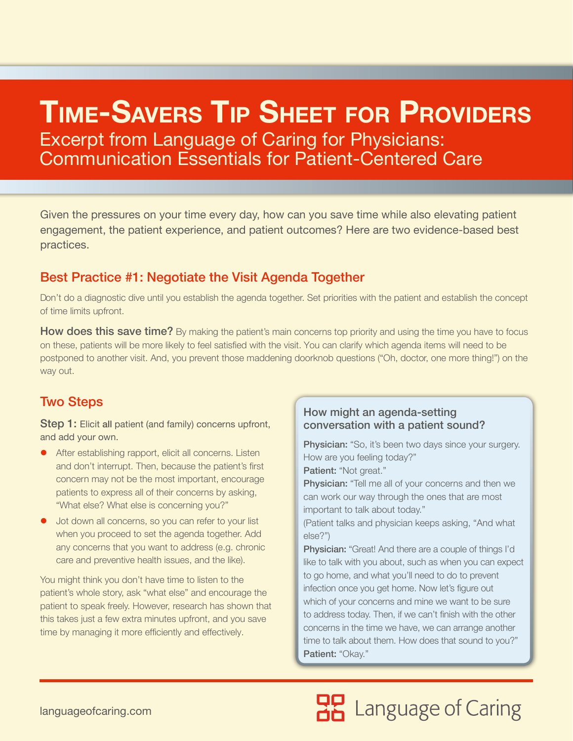## **Time-SaverS Tip SheeT for providerS** Excerpt from Language of Caring for Physicians:

Communication Essentials for Patient-Centered Care

Given the pressures on your time every day, how can you save time while also elevating patient engagement, the patient experience, and patient outcomes? Here are two evidence-based best practices.

## Best Practice #1: Negotiate the Visit Agenda Together

Don't do a diagnostic dive until you establish the agenda together. Set priorities with the patient and establish the concept of time limits upfront.

How does this save time? By making the patient's main concerns top priority and using the time you have to focus on these, patients will be more likely to feel satisfied with the visit. You can clarify which agenda items will need to be postponed to another visit. And, you prevent those maddening doorknob questions ("Oh, doctor, one more thing!") on the way out.

## Two Steps

Step 1: Elicit all patient (and family) concerns upfront, and add your own.

- After establishing rapport, elicit all concerns. Listen and don't interrupt. Then, because the patient's first concern may not be the most important, encourage patients to express all of their concerns by asking, "What else? What else is concerning you?"
- **•** Jot down all concerns, so you can refer to your list when you proceed to set the agenda together. Add any concerns that you want to address (e.g. chronic care and preventive health issues, and the like).

You might think you don't have time to listen to the patient's whole story, ask "what else" and encourage the patient to speak freely. However, research has shown that this takes just a few extra minutes upfront, and you save time by managing it more efficiently and effectively.

#### How might an agenda-setting conversation with a patient sound?

**Physician:** "So, it's been two days since your surgery. How are you feeling today?"

Patient: "Not great."

Physician: "Tell me all of your concerns and then we can work our way through the ones that are most important to talk about today."

(Patient talks and physician keeps asking, "And what else?")

Physician: "Great! And there are a couple of things I'd like to talk with you about, such as when you can expect to go home, and what you'll need to do to prevent infection once you get home. Now let's figure out which of your concerns and mine we want to be sure to address today. Then, if we can't finish with the other concerns in the time we have, we can arrange another time to talk about them. How does that sound to you?" Patient: "Okay."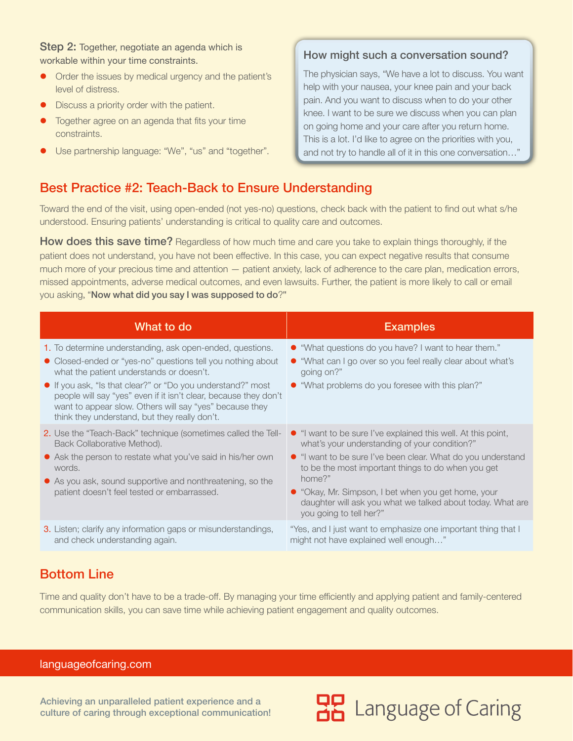Step 2: Together, negotiate an agenda which is workable within your time constraints.

- Order the issues by medical urgency and the patient's level of distress.
- $\bullet$  Discuss a priority order with the patient.
- Together agree on an agenda that fits your time constraints.
- Use partnership language: "We", "us" and "together".

#### How might such a conversation sound?

The physician says, "We have a lot to discuss. You want help with your nausea, your knee pain and your back pain. And you want to discuss when to do your other knee. I want to be sure we discuss when you can plan on going home and your care after you return home. This is a lot. I'd like to agree on the priorities with you, and not try to handle all of it in this one conversation…"

## Best Practice #2: Teach-Back to Ensure Understanding

Toward the end of the visit, using open-ended (not yes-no) questions, check back with the patient to find out what s/he understood. Ensuring patients' understanding is critical to quality care and outcomes.

**How does this save time?** Regardless of how much time and care you take to explain things thoroughly, if the patient does not understand, you have not been effective. In this case, you can expect negative results that consume much more of your precious time and attention — patient anxiety, lack of adherence to the care plan, medication errors, missed appointments, adverse medical outcomes, and even lawsuits. Further, the patient is more likely to call or email you asking, "Now what did you say I was supposed to do?**"**

| What to do                                                                                                                                                                                                                                                                                                                                                                                                          | <b>Examples</b>                                                                                                                                                                                                                                                                                                                                                                                |
|---------------------------------------------------------------------------------------------------------------------------------------------------------------------------------------------------------------------------------------------------------------------------------------------------------------------------------------------------------------------------------------------------------------------|------------------------------------------------------------------------------------------------------------------------------------------------------------------------------------------------------------------------------------------------------------------------------------------------------------------------------------------------------------------------------------------------|
| 1. To determine understanding, ask open-ended, questions.<br>• Closed-ended or "yes-no" questions tell you nothing about<br>what the patient understands or doesn't.<br>• If you ask, "Is that clear?" or "Do you understand?" most<br>people will say "yes" even if it isn't clear, because they don't<br>want to appear slow. Others will say "yes" because they<br>think they understand, but they really don't. | • "What questions do you have? I want to hear them."<br>• "What can I go over so you feel really clear about what's<br>going on?"<br>• "What problems do you foresee with this plan?"                                                                                                                                                                                                          |
| <b>2.</b> Use the "Teach-Back" technique (sometimes called the Tell-<br>Back Collaborative Method).<br>• Ask the person to restate what you've said in his/her own<br>words.<br>• As you ask, sound supportive and nonthreatening, so the<br>patient doesn't feel tested or embarrassed.                                                                                                                            | • "I want to be sure I've explained this well. At this point,<br>what's your understanding of your condition?"<br>• "I want to be sure I've been clear. What do you understand<br>to be the most important things to do when you get<br>home?"<br>• "Okay, Mr. Simpson, I bet when you get home, your<br>daughter will ask you what we talked about today. What are<br>you going to tell her?" |
| <b>3.</b> Listen; clarify any information gaps or misunderstandings,<br>and check understanding again.                                                                                                                                                                                                                                                                                                              | "Yes, and I just want to emphasize one important thing that I<br>might not have explained well enough"                                                                                                                                                                                                                                                                                         |

## Bottom Line

Time and quality don't have to be a trade-off. By managing your time efficiently and applying patient and family-centered communication skills, you can save time while achieving patient engagement and quality outcomes.

#### [languageofcaring.com](http://languageofcaring.com)

Achieving an unparalleled patient experience and a culture of caring through exceptional communication!

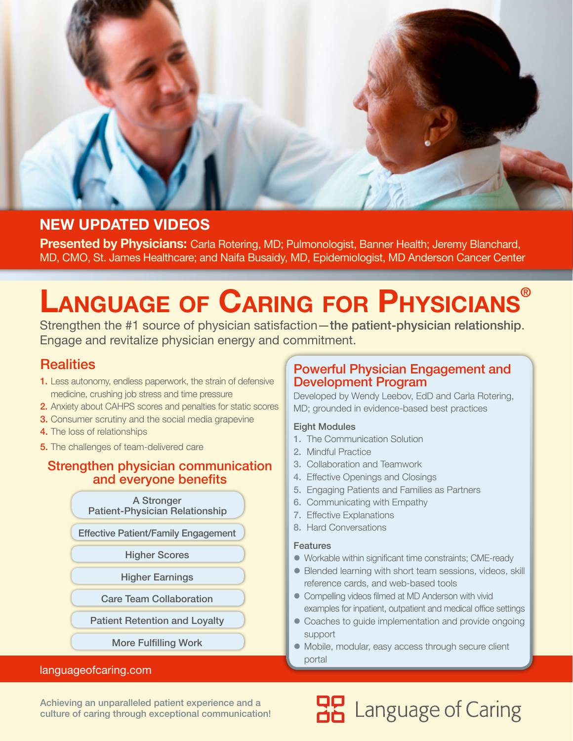

## **NEW UPDATED VIDEOS**

**Presented by Physicians:** Carla Rotering, MD; Pulmonologist, Banner Health; Jeremy Blanchard, MD, CMO, St. James Healthcare; and Naifa Busaidy, MD, Epidemiologist, MD Anderson Cancer Center

# **Language of Caring for Physicians®**

Strengthen the #1 source of physician satisfaction—the patient-physician relationship. Engage and revitalize physician energy and commitment.

## **Realities**

- 1. Less autonomy, endless paperwork, the strain of defensive medicine, crushing job stress and time pressure
- 2. Anxiety about CAHPS scores and penalties for static scores
- **3.** Consumer scrutiny and the social media grapevine
- 4. The loss of relationships
- **5.** The challenges of team-delivered care

#### Strengthen physician communication and everyone benefits

A Stronger Patient-Physician Relationship

Effective Patient/Family Engagement

Higher Scores

Higher Earnings

Care Team Collaboration

Patient Retention and Loyalty

More Fulfilling Work

#### [languageofcaring.com](http://languageofcaring.com)

### Powerful Physician Engagement and Development Program

Developed by Wendy Leebov, EdD and Carla Rotering, MD; grounded in evidence-based best practices

#### Eight Modules

- 1. The Communication Solution
- 2. Mindful Practice
- 3. Collaboration and Teamwork
- 4. Effective Openings and Closings
- 5. Engaging Patients and Families as Partners
- 6. Communicating with Empathy
- 7. Effective Explanations
- 8. Hard Conversations

#### **Features**

- Workable within significant time constraints; CME-ready
- Blended learning with short team sessions, videos, skill reference cards, and web-based tools
- Compelling videos filmed at MD Anderson with vivid examples for inpatient, outpatient and medical office settings
- Coaches to guide implementation and provide ongoing support

**HP** Language of Caring

 $\bullet$  Mobile, modular, easy access through secure client portal

Achieving an unparalleled patient experience and a culture of caring through exceptional communication!